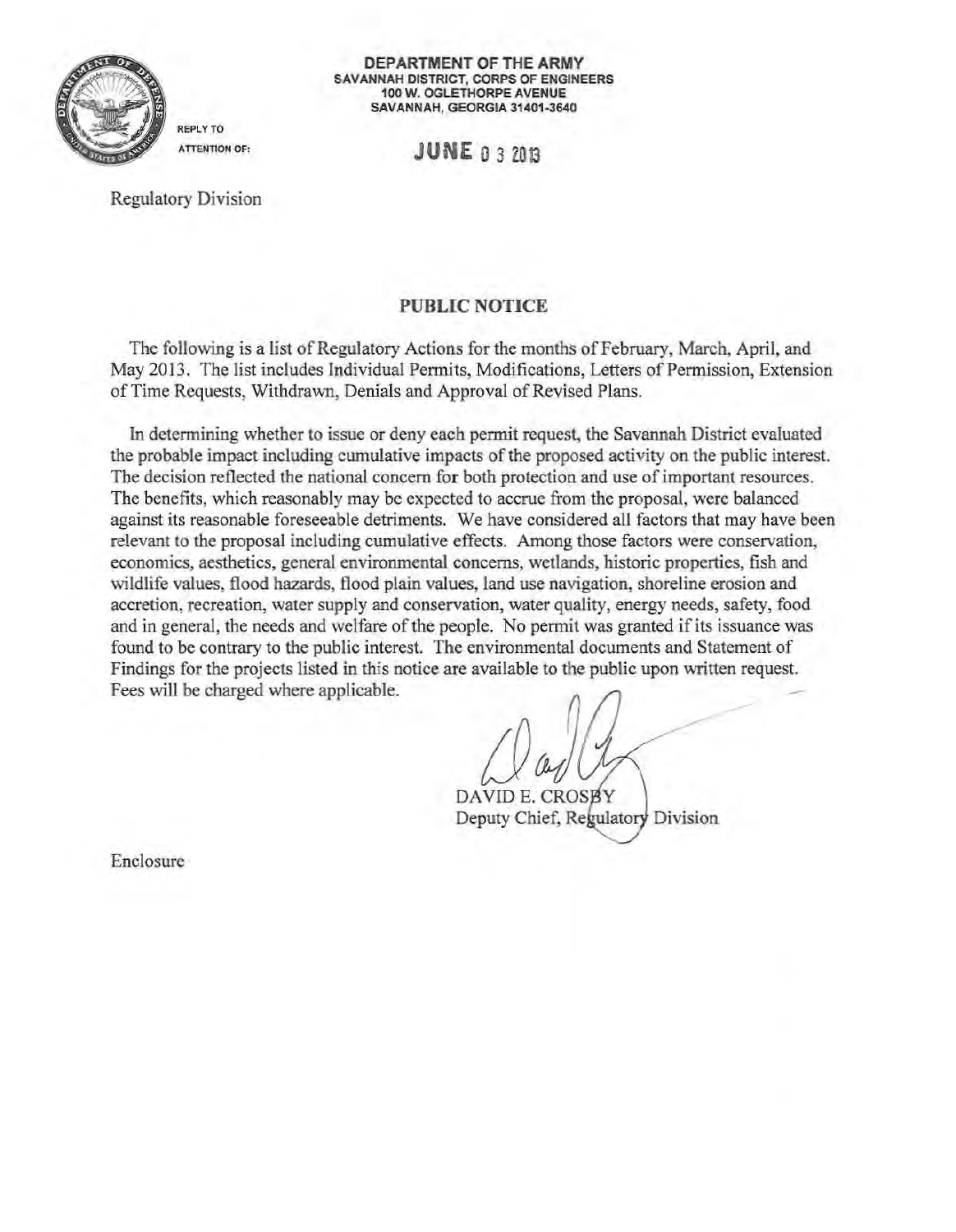

**DEPARTMENT OF THE ARMY**  SAVANNAH DISTRICT, CORPS OF ENGINEERS 100 W. OGLETHORPE AVENUE SAVANNAH, GEORGIA 31401-3640

ATTENTION OF: **JUNE** 0 3 2013

Regulatory Division

REPLY TO

## PUBLIC NOTICE

The following is a list of Regulatory Actions for the months of February, March, April, and May 2013. The list includes Individual Permits, Modifications, Letters of Permission, Extension of Time Requests, Withdrawn, Denials and Approval of Revised Plans.

In determining whether to issue or deny each permit request, the Savannah District evaluated the probable impact including cumulative impacts ofthe proposed activity on the public interest. The decision reflected the national concern for both protection and use of important resources. The benefits, which reasonably may be expected to accrue from the proposal, were balanced against its reasonable foreseeable detriments. We have considered all factors that may have been relevant to the proposal including cumulative effects. Among those factors were conservation, economics, aesthetics, general environmental concerns, wetlands, historic properties, fish and wildlife values, flood hazards, flood plain values, land use navigation, shoreline erosion and accretion, recreation, water supply and conservation, water quality, energy needs, safety, food and in general, the needs and welfare of the people. No permit was granted if its issuance was found to be contrary to the public interest. The environmental documents and Statement of Findings for the projects listed in this notice are available to the public upon written request. Fees will be charged where applicable.

DAVID E. CROS Deputy Chief, Regulatory Division

Enclosure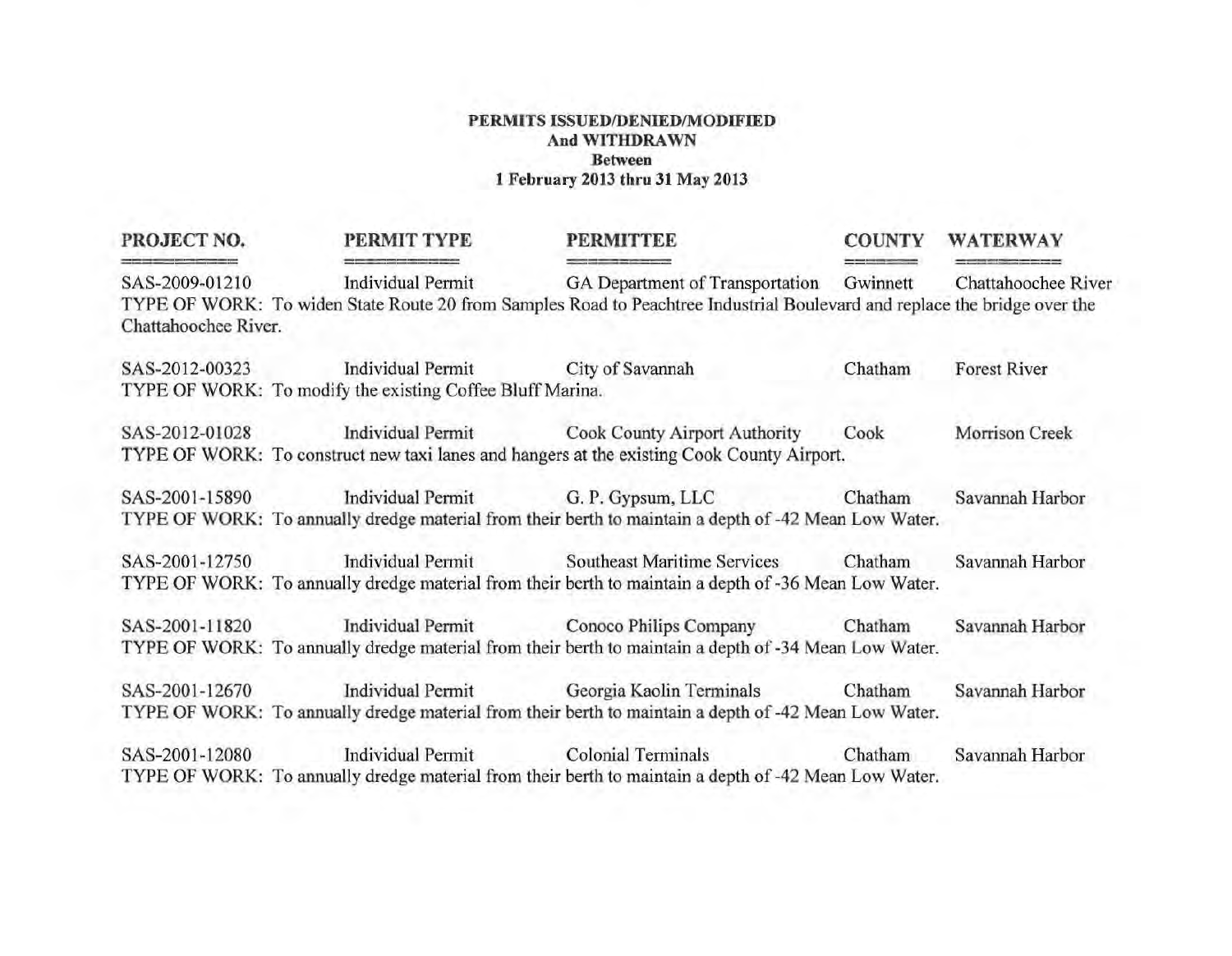| PROJECT NO.                            | PERMIT TYPE                                                                                                    | <b>PERMITTEE</b>                                                                                                                                                                          | <b>COUNTY</b> | <b>WATERWAY</b>     |
|----------------------------------------|----------------------------------------------------------------------------------------------------------------|-------------------------------------------------------------------------------------------------------------------------------------------------------------------------------------------|---------------|---------------------|
| SAS-2009-01210<br>Chattahoochee River. | Individual Permit                                                                                              | GA Department of Transportation Gwinnett Chattahoochee River<br>TYPE OF WORK: To widen State Route 20 from Samples Road to Peachtree Industrial Boulevard and replace the bridge over the |               |                     |
|                                        | SAS-2012-00323 Individual Permit City of Savannah<br>TYPE OF WORK: To modify the existing Coffee Bluff Marina. |                                                                                                                                                                                           | Chatham       | <b>Forest River</b> |
|                                        |                                                                                                                | SAS-2012-01028 Individual Permit Cook County Airport Authority<br>TYPE OF WORK: To construct new taxi lanes and hangers at the existing Cook County Airport.                              | Cook          | Morrison Creek      |
|                                        |                                                                                                                | SAS-2001-15890 Individual Permit G. P. Gypsum, LLC Chatham<br>TYPE OF WORK: To annually dredge material from their berth to maintain a depth of -42 Mean Low Water.                       |               | Savannah Harbor     |
|                                        |                                                                                                                | SAS-2001-12750 Individual Permit Southeast Maritime Services<br>TYPE OF WORK: To annually dredge material from their berth to maintain a depth of -36 Mean Low Water.                     | Chatham       | Savannah Harbor     |
| SAS-2001-11820                         |                                                                                                                | Individual Permit Conoco Philips Company Chatham<br>TYPE OF WORK: To annually dredge material from their berth to maintain a depth of -34 Mean Low Water.                                 |               | Savannah Harbor     |
|                                        |                                                                                                                | SAS-2001-12670 Individual Permit Georgia Kaolin Terminals Chatham<br>TYPE OF WORK: To annually dredge material from their berth to maintain a depth of -42 Mean Low Water.                |               | Savannah Harbor     |
|                                        |                                                                                                                | SAS-2001-12080 Individual Permit Colonial Terminals Chatham<br>TYPE OF WORK: To annually dredge material from their berth to maintain a depth of -42 Mean Low Water.                      |               | Savannah Harbor     |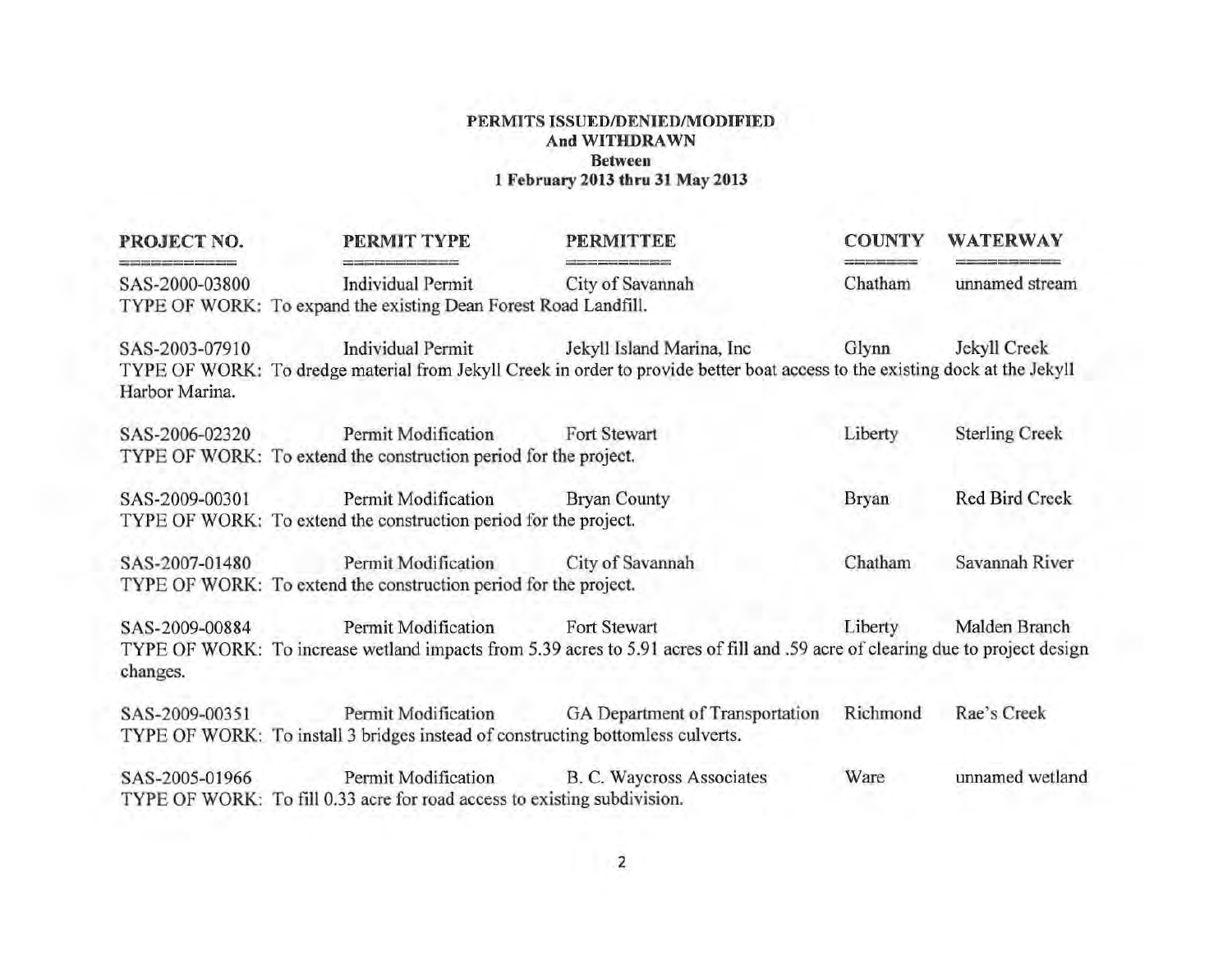| PROJECT NO.                      | PERMIT TYPE                                                                                          | <b>PERMITTEE</b>                                                                                                                                          | <b>COUNTY</b> | <b>WATERWAY</b>       |
|----------------------------------|------------------------------------------------------------------------------------------------------|-----------------------------------------------------------------------------------------------------------------------------------------------------------|---------------|-----------------------|
| SAS-2000-03800                   | <b>Individual Permit</b><br>TYPE OF WORK: To expand the existing Dean Forest Road Landfill.          | City of Savannah                                                                                                                                          | Chatham       | unnamed stream        |
| SAS-2003-07910<br>Harbor Marina. | Individual Permit                                                                                    | Jekyll Island Marina, Inc<br>TYPE OF WORK: To dredge material from Jekyll Creek in order to provide better boat access to the existing dock at the Jekyll | Glynn         | Jekyll Creek          |
| SAS-2006-02320                   | <b>Permit Modification</b><br>TYPE OF WORK: To extend the construction period for the project.       | Fort Stewart                                                                                                                                              | Liberty       | <b>Sterling Creek</b> |
| SAS-2009-00301                   | Permit Modification Bryan County<br>TYPE OF WORK: To extend the construction period for the project. |                                                                                                                                                           | <b>Bryan</b>  | <b>Red Bird Creek</b> |
| SAS-2007-01480                   | <b>Permit Modification</b><br>TYPE OF WORK: To extend the construction period for the project.       | City of Savannah                                                                                                                                          | Chatham       | Savannah River        |
| SAS-2009-00884<br>changes.       | Permit Modification Fort Stewart                                                                     | TYPE OF WORK: To increase wetland impacts from 5.39 acres to 5.91 acres of fill and .59 acre of clearing due to project design                            | Liberty       | Malden Branch         |
| SAS-2009-00351                   | TYPE OF WORK: To install 3 bridges instead of constructing bottomless culverts.                      | Permit Modification GA Department of Transportation                                                                                                       | Richmond      | Rae's Creek           |
| SAS-2005-01966                   | TYPE OF WORK: To fill 0.33 acre for road access to existing subdivision.                             | Permit Modification B. C. Waycross Associates                                                                                                             | Ware          | unnamed wetland       |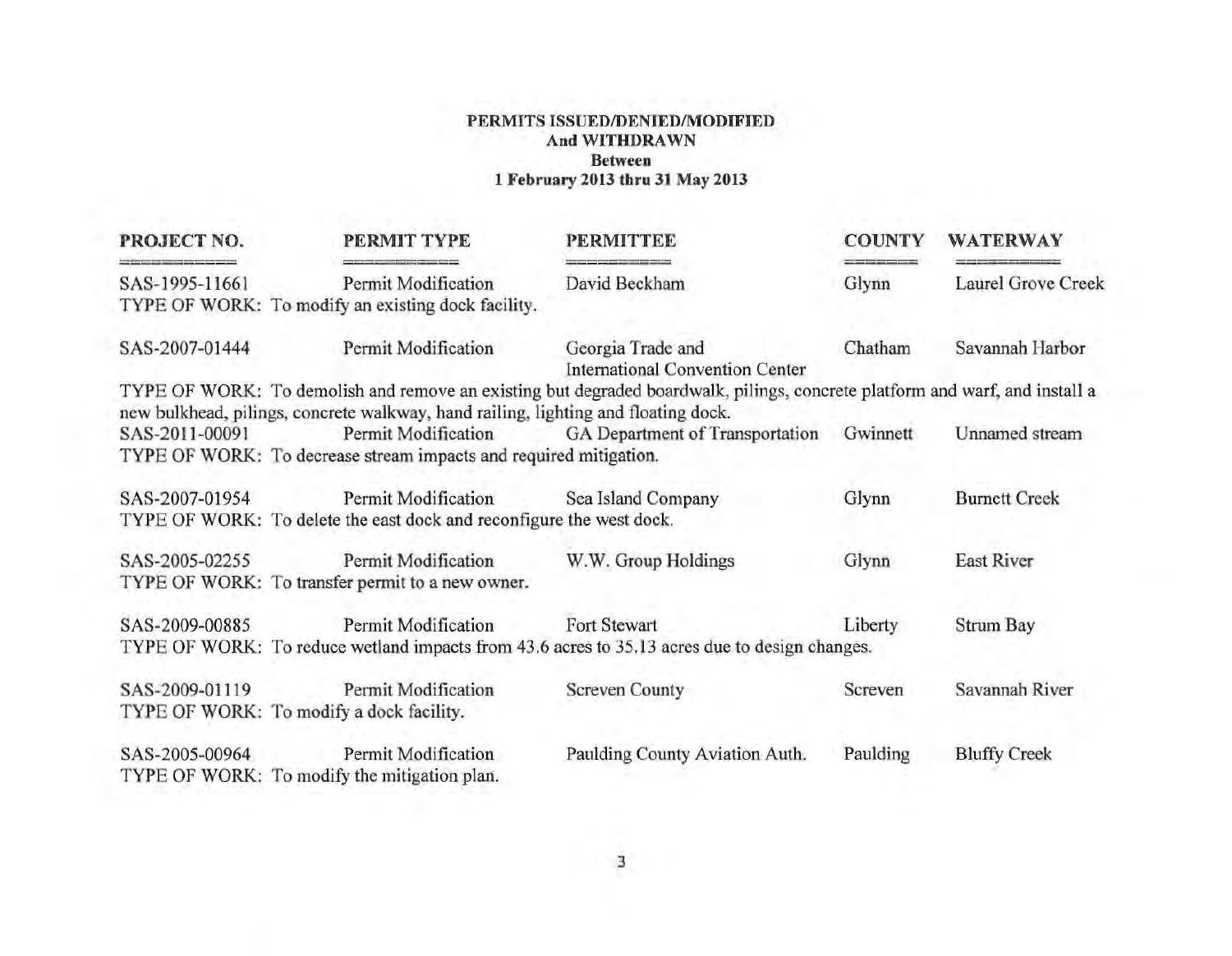| PROJECT NO.    | PERMIT TYPE                                                                        | <b>PERMITTEE</b>                                                                                                            | <b>COUNTY</b> | <b>WATERWAY</b>      |
|----------------|------------------------------------------------------------------------------------|-----------------------------------------------------------------------------------------------------------------------------|---------------|----------------------|
| SAS-1995-11661 | Permit Modification<br>TYPE OF WORK: To modify an existing dock facility.          | David Beckham                                                                                                               | Glynn         | Laurel Grove Creek   |
| SAS-2007-01444 | Permit Modification                                                                | Georgia Trade and<br><b>International Convention Center</b>                                                                 | Chatham       | Savannah Harbor      |
|                |                                                                                    | TYPE OF WORK: To demolish and remove an existing but degraded boardwalk, pilings, concrete platform and warf, and install a |               |                      |
|                | new bulkhead, pilings, concrete walkway, hand railing, lighting and floating dock. |                                                                                                                             |               |                      |
| SAS-2011-00091 |                                                                                    | Permit Modification GA Department of Transportation                                                                         | Gwinnett      | Unnamed stream       |
|                | TYPE OF WORK: To decrease stream impacts and required mitigation.                  |                                                                                                                             |               |                      |
| SAS-2007-01954 | Permit Modification                                                                | Sea Island Company                                                                                                          | Glynn         | <b>Burnett Creek</b> |
|                | TYPE OF WORK: To delete the east dock and reconfigure the west dock.               |                                                                                                                             |               |                      |
| SAS-2005-02255 | Permit Modification                                                                | W.W. Group Holdings                                                                                                         | Glynn         | <b>East River</b>    |
|                | TYPE OF WORK: To transfer permit to a new owner.                                   |                                                                                                                             |               |                      |
| SAS-2009-00885 | Permit Modification                                                                | <b>Fort Stewart</b>                                                                                                         | Liberty       | Strum Bay            |
|                |                                                                                    | TYPE OF WORK: To reduce wetland impacts from 43.6 acres to 35.13 acres due to design changes.                               |               |                      |
| SAS-2009-01119 | Permit Modification                                                                | <b>Screven County</b>                                                                                                       | Screven       | Savannah River       |
|                | TYPE OF WORK: To modify a dock facility.                                           |                                                                                                                             |               |                      |
| SAS-2005-00964 | Permit Modification                                                                | Paulding County Aviation Auth.                                                                                              | Paulding      | <b>Bluffy Creek</b>  |
|                | TYPE OF WORK: To modify the mitigation plan.                                       |                                                                                                                             |               |                      |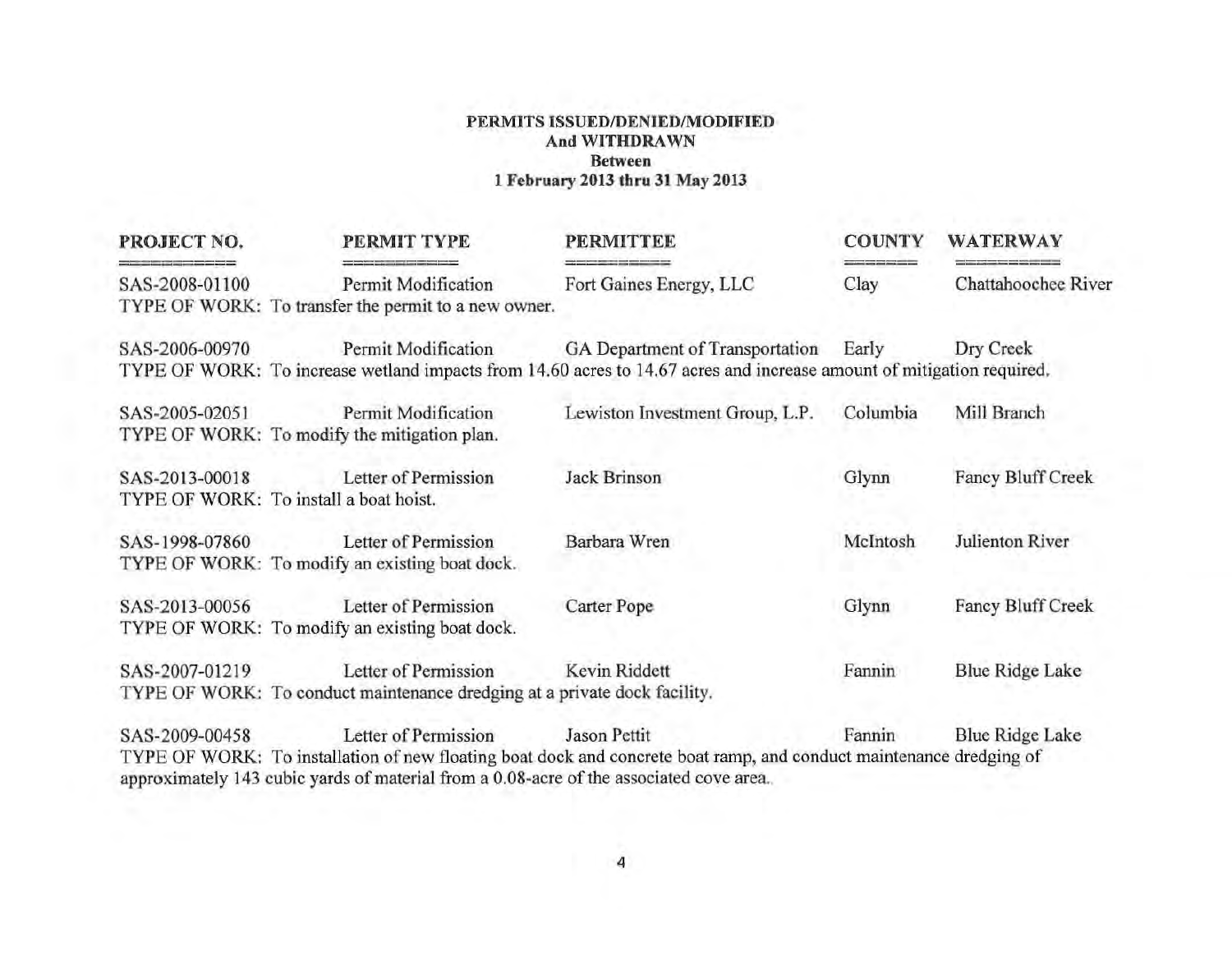| PROJECT NO.    | PERMIT TYPE                                                                                                     | <b>PERMITTEE</b>                                                                                                                                               | <b>COUNTY</b> | <b>WATERWAY</b>          |
|----------------|-----------------------------------------------------------------------------------------------------------------|----------------------------------------------------------------------------------------------------------------------------------------------------------------|---------------|--------------------------|
| SAS-2008-01100 | Permit Modification<br>TYPE OF WORK: To transfer the permit to a new owner.                                     | Fort Gaines Energy, LLC                                                                                                                                        | Clay          | Chattahoochee River      |
| SAS-2006-00970 | Permit Modification                                                                                             | GA Department of Transportation Early<br>TYPE OF WORK: To increase wetland impacts from 14.60 acres to 14.67 acres and increase amount of mitigation required. |               | Dry Creek                |
| SAS-2005-02051 | Permit Modification<br>TYPE OF WORK: To modify the mitigation plan.                                             | Lewiston Investment Group, L.P.                                                                                                                                | Columbia      | Mill Branch              |
| SAS-2013-00018 | Letter of Permission<br>TYPE OF WORK: To install a boat hoist.                                                  | Jack Brinson                                                                                                                                                   | Glynn         | <b>Fancy Bluff Creek</b> |
| SAS-1998-07860 | Letter of Permission<br>TYPE OF WORK: To modify an existing boat dock.                                          | Barbara Wren                                                                                                                                                   | McIntosh      | Julienton River          |
| SAS-2013-00056 | Letter of Permission<br>TYPE OF WORK: To modify an existing boat dock.                                          | <b>Carter Pope</b>                                                                                                                                             | Glynn         | <b>Fancy Bluff Creek</b> |
| SAS-2007-01219 | Letter of Permission<br>TYPE OF WORK: To conduct maintenance dredging at a private dock facility.               | Kevin Riddett                                                                                                                                                  | Fannin        | Blue Ridge Lake          |
| SAS-2009-00458 | Letter of Permission<br>approximately 143 cubic yards of material from a 0.08-acre of the associated cove area. | Jason Pettit<br>TYPE OF WORK: To installation of new floating boat dock and concrete boat ramp, and conduct maintenance dredging of                            | Fannin        | <b>Blue Ridge Lake</b>   |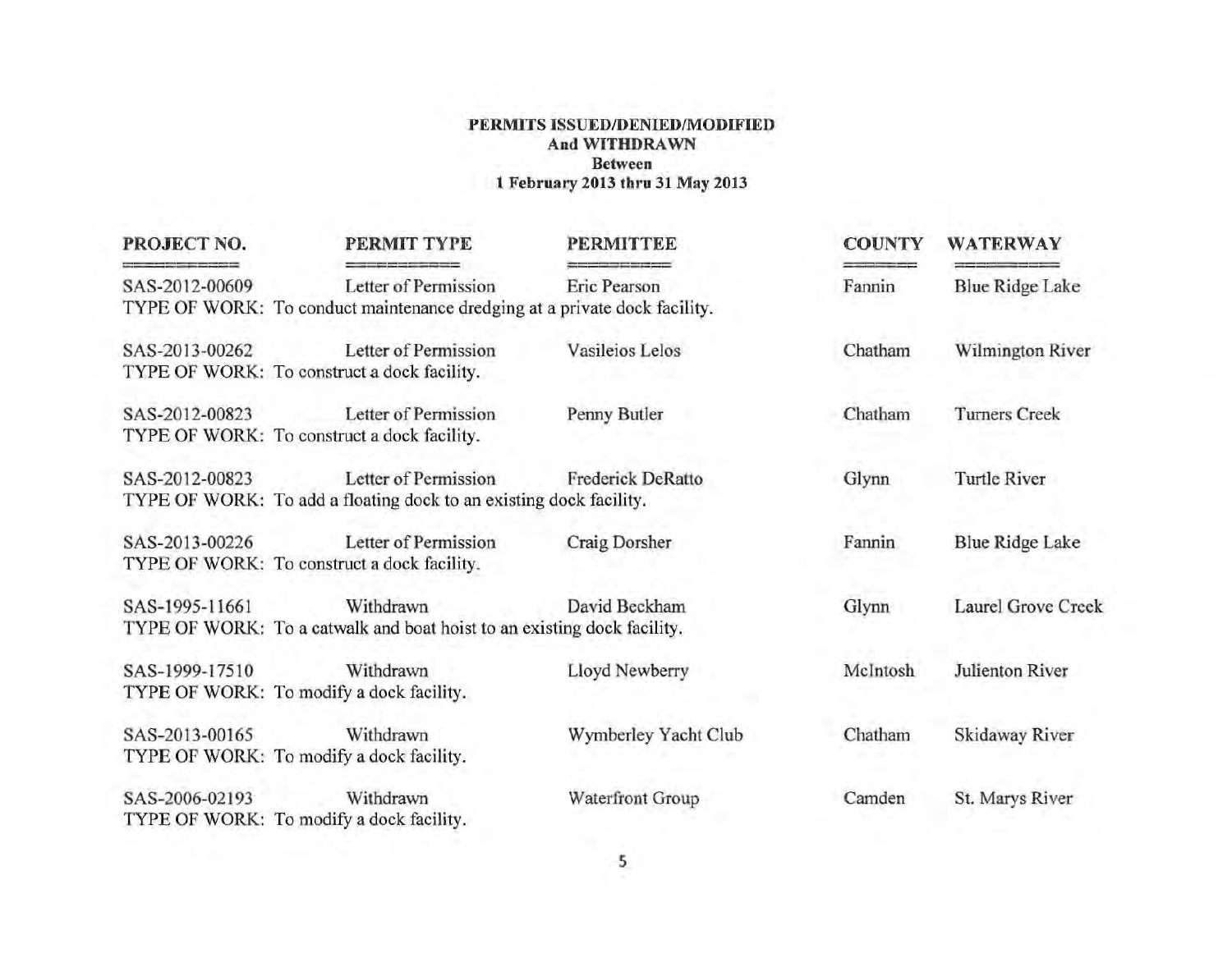| PROJECT NO.    | PERMIT TYPE                                                                                       | <b>PERMITTEE</b>     | <b>COUNTY</b> | <b>WATERWAY</b>           |
|----------------|---------------------------------------------------------------------------------------------------|----------------------|---------------|---------------------------|
| SAS-2012-00609 | Letter of Permission<br>TYPE OF WORK: To conduct maintenance dredging at a private dock facility. | Eric Pearson         | Fannin        | <b>Blue Ridge Lake</b>    |
| SAS-2013-00262 | Letter of Permission<br>TYPE OF WORK: To construct a dock facility.                               | Vasileios Lelos      | Chatham       | Wilmington River          |
| SAS-2012-00823 | Letter of Permission<br>TYPE OF WORK: To construct a dock facility.                               | Penny Butler         | Chatham       | <b>Turners Creek</b>      |
| SAS-2012-00823 | Letter of Permission<br>TYPE OF WORK: To add a floating dock to an existing dock facility.        | Frederick DeRatto    | Glynn         | Turtle River              |
| SAS-2013-00226 | Letter of Permission<br>TYPE OF WORK: To construct a dock facility.                               | Craig Dorsher        | Fannin        | <b>Blue Ridge Lake</b>    |
| SAS-1995-11661 | Withdrawn<br>TYPE OF WORK: To a catwalk and boat hoist to an existing dock facility.              | David Beckham        | Glynn         | <b>Laurel Grove Creek</b> |
| SAS-1999-17510 | Withdrawn<br>TYPE OF WORK: To modify a dock facility.                                             | Lloyd Newberry       | McIntosh      | Julienton River           |
| SAS-2013-00165 | Withdrawn<br>TYPE OF WORK: To modify a dock facility.                                             | Wymberley Yacht Club | Chatham       | Skidaway River            |
| SAS-2006-02193 | Withdrawn<br>TYPE OF WORK: To modify a dock facility.                                             | Waterfront Group     | Camden        | St. Marys River           |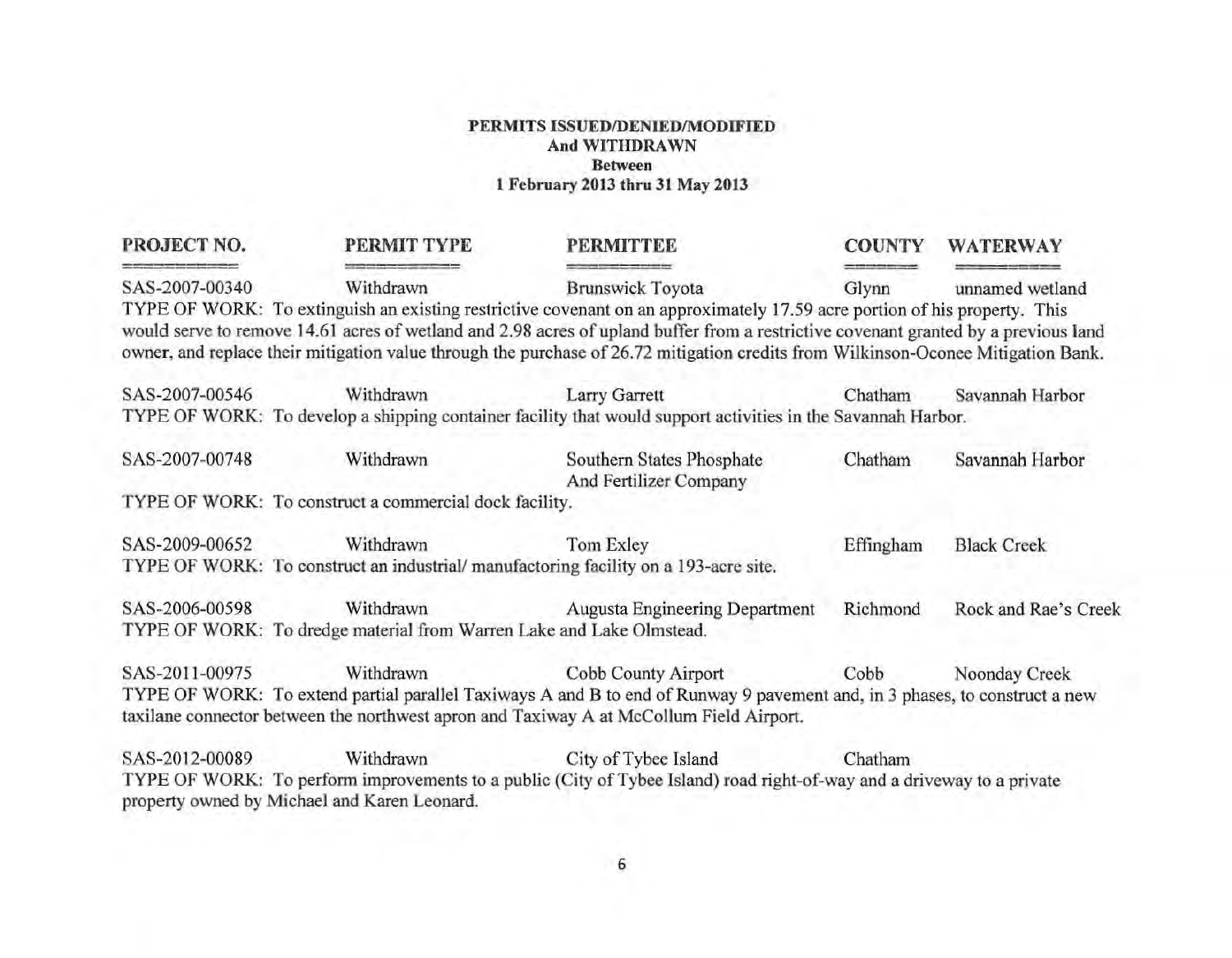| PROJECT NO.    | PERMIT TYPE                                                          | <b>PERMITTEE</b>                                                                                                                                                                                                                                                                                                                                                                                      | <b>COUNTY</b> | <b>WATERWAY</b>      |
|----------------|----------------------------------------------------------------------|-------------------------------------------------------------------------------------------------------------------------------------------------------------------------------------------------------------------------------------------------------------------------------------------------------------------------------------------------------------------------------------------------------|---------------|----------------------|
| SAS-2007-00340 | Withdrawn                                                            | <b>Brunswick Toyota</b>                                                                                                                                                                                                                                                                                                                                                                               | Glynn         | unnamed wetland      |
|                |                                                                      | TYPE OF WORK: To extinguish an existing restrictive covenant on an approximately 17.59 acre portion of his property. This<br>would serve to remove 14.61 acres of wetland and 2.98 acres of upland buffer from a restrictive covenant granted by a previous land<br>owner, and replace their mitigation value through the purchase of 26.72 mitigation credits from Wilkinson-Oconee Mitigation Bank. |               |                      |
| SAS-2007-00546 | Withdrawn                                                            | <b>Larry Garrett</b>                                                                                                                                                                                                                                                                                                                                                                                  | Chatham       | Savannah Harbor      |
|                |                                                                      | TYPE OF WORK: To develop a shipping container facility that would support activities in the Savannah Harbor.                                                                                                                                                                                                                                                                                          |               |                      |
| SAS-2007-00748 | Withdrawn                                                            | Southern States Phosphate<br>And Fertilizer Company                                                                                                                                                                                                                                                                                                                                                   | Chatham       | Savannah Harbor      |
|                | TYPE OF WORK: To construct a commercial dock facility.               |                                                                                                                                                                                                                                                                                                                                                                                                       |               |                      |
| SAS-2009-00652 | Withdrawn                                                            | Tom Exley                                                                                                                                                                                                                                                                                                                                                                                             | Effingham     | <b>Black Creek</b>   |
|                |                                                                      | TYPE OF WORK: To construct an industrial/manufactoring facility on a 193-acre site.                                                                                                                                                                                                                                                                                                                   |               |                      |
| SAS-2006-00598 | Withdrawn                                                            | <b>Augusta Engineering Department</b>                                                                                                                                                                                                                                                                                                                                                                 | Richmond      | Rock and Rae's Creek |
|                | TYPE OF WORK: To dredge material from Warren Lake and Lake Olmstead. |                                                                                                                                                                                                                                                                                                                                                                                                       |               |                      |
| SAS-2011-00975 | Withdrawn                                                            | Cobb County Airport                                                                                                                                                                                                                                                                                                                                                                                   | Cobb          | Noonday Creek        |
|                |                                                                      | TYPE OF WORK: To extend partial parallel Taxiways A and B to end of Runway 9 pavement and, in 3 phases, to construct a new                                                                                                                                                                                                                                                                            |               |                      |
|                |                                                                      | taxilane connector between the northwest apron and Taxiway A at McCollum Field Airport.                                                                                                                                                                                                                                                                                                               |               |                      |
| SAS-2012-00089 | Withdrawn                                                            | City of Tybee Island                                                                                                                                                                                                                                                                                                                                                                                  | Chatham       |                      |
|                | property owned by Michael and Karen Leonard.                         | TYPE OF WORK: To perform improvements to a public (City of Tybee Island) road right-of-way and a driveway to a private                                                                                                                                                                                                                                                                                |               |                      |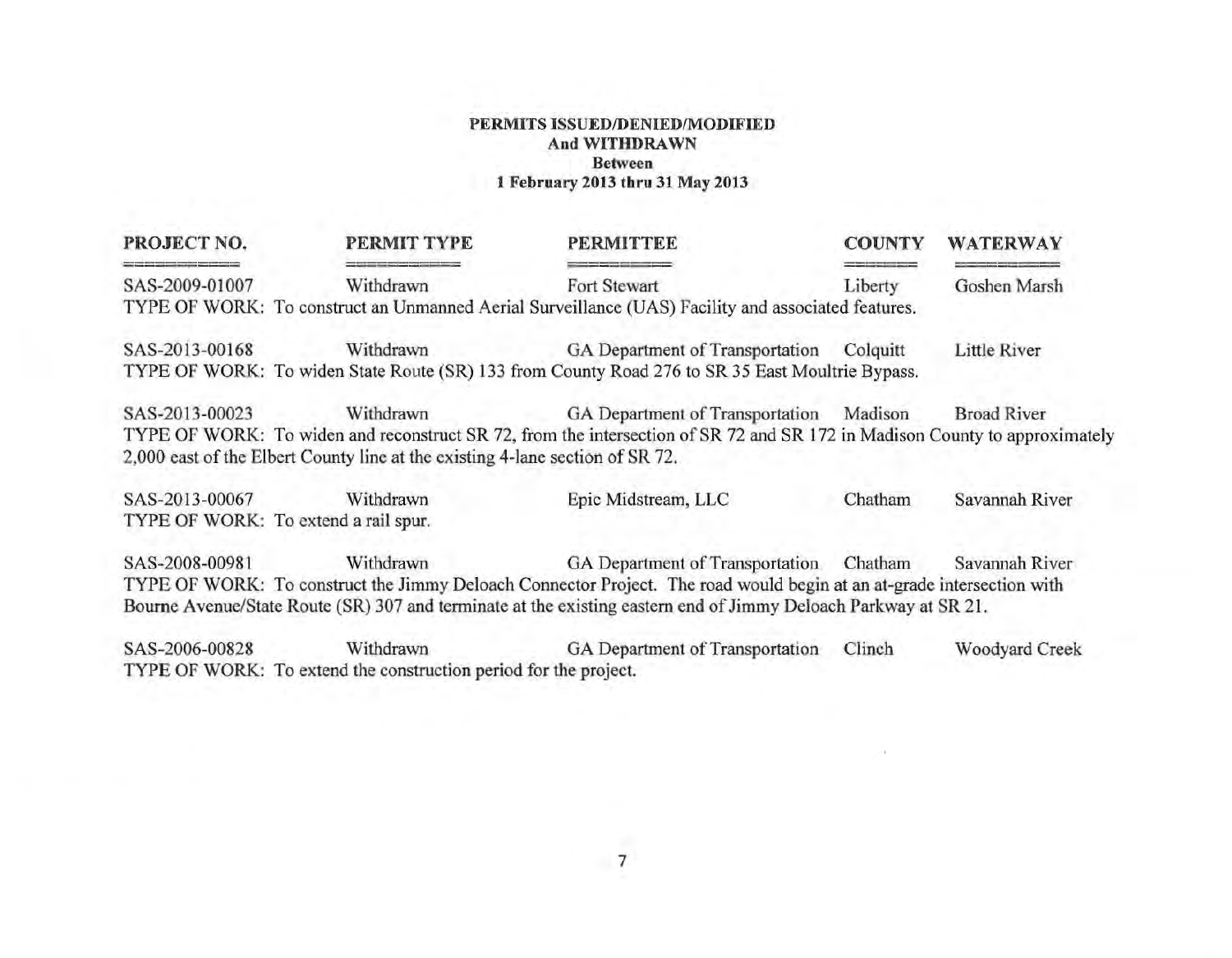| PROJECT NO.                                                             | PERMIT TYPE                                                                   | <b>PERMITTEE</b>                                                                                                           | <b>COUNTY</b> | <b>WATERWAY</b>    |
|-------------------------------------------------------------------------|-------------------------------------------------------------------------------|----------------------------------------------------------------------------------------------------------------------------|---------------|--------------------|
| the same state and complete them to be problem to the<br>SAS-2009-01007 | Withdrawn                                                                     | Fort Stewart                                                                                                               | Liberty       | Goshen Marsh       |
|                                                                         |                                                                               | TYPE OF WORK: To construct an Unmanned Aerial Surveillance (UAS) Facility and associated features.                         |               |                    |
| SAS-2013-00168                                                          | Withdrawn                                                                     | GA Department of Transportation                                                                                            | Colquitt      | Little River       |
|                                                                         |                                                                               | TYPE OF WORK: To widen State Route (SR) 133 from County Road 276 to SR 35 East Moultrie Bypass.                            |               |                    |
| SAS-2013-00023                                                          | Withdrawn                                                                     | GA Department of Transportation                                                                                            | Madison       | <b>Broad River</b> |
|                                                                         |                                                                               | TYPE OF WORK: To widen and reconstruct SR 72, from the intersection of SR 72 and SR 172 in Madison County to approximately |               |                    |
|                                                                         | 2,000 east of the Elbert County line at the existing 4-lane section of SR 72. |                                                                                                                            |               |                    |
| SAS-2013-00067                                                          | Withdrawn                                                                     | Epic Midstream, LLC                                                                                                        | Chatham       | Savannah River     |
|                                                                         | TYPE OF WORK: To extend a rail spur.                                          |                                                                                                                            |               |                    |
| SAS-2008-00981                                                          | Withdrawn                                                                     | GA Department of Transportation Chatham                                                                                    |               | Savannah River     |
|                                                                         |                                                                               | TYPE OF WORK: To construct the Jimmy Deloach Connector Project. The road would begin at an at-grade intersection with      |               |                    |
|                                                                         |                                                                               | Bourne Avenue/State Route (SR) 307 and terminate at the existing eastern end of Jimmy Deloach Parkway at SR 21.            |               |                    |
| SAS-2006-00828                                                          | Withdrawn                                                                     | GA Department of Transportation                                                                                            | Clinch        | Woodyard Creek     |
|                                                                         | TYPE OF WORK: To extend the construction period for the project.              |                                                                                                                            |               |                    |